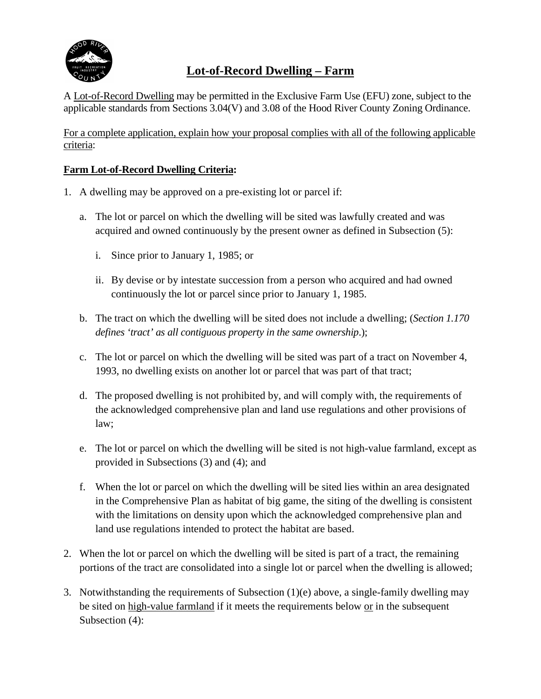

# **Lot-of-Record Dwelling – Farm**

A Lot-of-Record Dwelling may be permitted in the Exclusive Farm Use (EFU) zone, subject to the applicable standards from Sections 3.04(V) and 3.08 of the Hood River County Zoning Ordinance.

For a complete application, explain how your proposal complies with all of the following applicable criteria:

## **Farm Lot-of-Record Dwelling Criteria:**

- 1. A dwelling may be approved on a pre-existing lot or parcel if:
	- a. The lot or parcel on which the dwelling will be sited was lawfully created and was acquired and owned continuously by the present owner as defined in Subsection (5):
		- i. Since prior to January 1, 1985; or
		- ii. By devise or by intestate succession from a person who acquired and had owned continuously the lot or parcel since prior to January 1, 1985.
	- b. The tract on which the dwelling will be sited does not include a dwelling; (*Section 1.170 defines 'tract' as all contiguous property in the same ownership*.);
	- c. The lot or parcel on which the dwelling will be sited was part of a tract on November 4, 1993, no dwelling exists on another lot or parcel that was part of that tract;
	- d. The proposed dwelling is not prohibited by, and will comply with, the requirements of the acknowledged comprehensive plan and land use regulations and other provisions of law;
	- e. The lot or parcel on which the dwelling will be sited is not high-value farmland, except as provided in Subsections (3) and (4); and
	- f. When the lot or parcel on which the dwelling will be sited lies within an area designated in the Comprehensive Plan as habitat of big game, the siting of the dwelling is consistent with the limitations on density upon which the acknowledged comprehensive plan and land use regulations intended to protect the habitat are based.
- 2. When the lot or parcel on which the dwelling will be sited is part of a tract, the remaining portions of the tract are consolidated into a single lot or parcel when the dwelling is allowed;
- 3. Notwithstanding the requirements of Subsection (1)(e) above, a single-family dwelling may be sited on high-value farmland if it meets the requirements below or in the subsequent Subsection (4):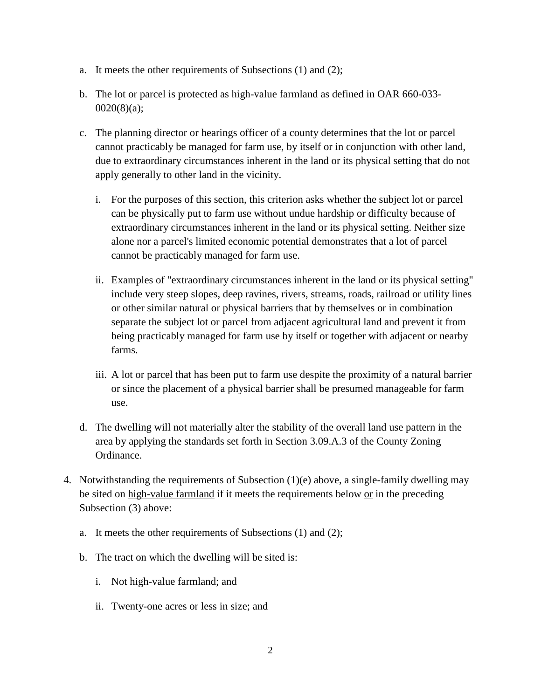- a. It meets the other requirements of Subsections (1) and (2);
- b. The lot or parcel is protected as high-value farmland as defined in OAR 660-033- 0020(8)(a);
- c. The planning director or hearings officer of a county determines that the lot or parcel cannot practicably be managed for farm use, by itself or in conjunction with other land, due to extraordinary circumstances inherent in the land or its physical setting that do not apply generally to other land in the vicinity.
	- i. For the purposes of this section, this criterion asks whether the subject lot or parcel can be physically put to farm use without undue hardship or difficulty because of extraordinary circumstances inherent in the land or its physical setting. Neither size alone nor a parcel's limited economic potential demonstrates that a lot of parcel cannot be practicably managed for farm use.
	- ii. Examples of "extraordinary circumstances inherent in the land or its physical setting" include very steep slopes, deep ravines, rivers, streams, roads, railroad or utility lines or other similar natural or physical barriers that by themselves or in combination separate the subject lot or parcel from adjacent agricultural land and prevent it from being practicably managed for farm use by itself or together with adjacent or nearby farms.
	- iii. A lot or parcel that has been put to farm use despite the proximity of a natural barrier or since the placement of a physical barrier shall be presumed manageable for farm use.
- d. The dwelling will not materially alter the stability of the overall land use pattern in the area by applying the standards set forth in Section 3.09.A.3 of the County Zoning Ordinance.
- 4. Notwithstanding the requirements of Subsection (1)(e) above, a single-family dwelling may be sited on high-value farmland if it meets the requirements below or in the preceding Subsection (3) above:
	- a. It meets the other requirements of Subsections (1) and (2);
	- b. The tract on which the dwelling will be sited is:
		- i. Not high-value farmland; and
		- ii. Twenty-one acres or less in size; and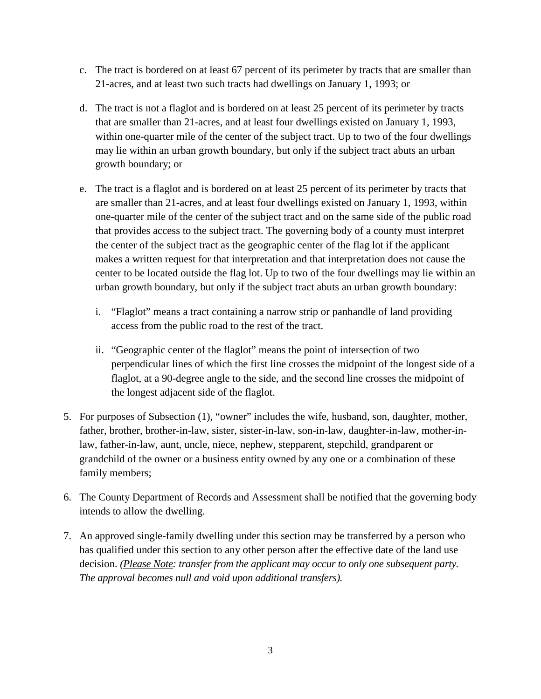- c. The tract is bordered on at least 67 percent of its perimeter by tracts that are smaller than 21-acres, and at least two such tracts had dwellings on January 1, 1993; or
- d. The tract is not a flaglot and is bordered on at least 25 percent of its perimeter by tracts that are smaller than 21-acres, and at least four dwellings existed on January 1, 1993, within one-quarter mile of the center of the subject tract. Up to two of the four dwellings may lie within an urban growth boundary, but only if the subject tract abuts an urban growth boundary; or
- e. The tract is a flaglot and is bordered on at least 25 percent of its perimeter by tracts that are smaller than 21-acres, and at least four dwellings existed on January 1, 1993, within one-quarter mile of the center of the subject tract and on the same side of the public road that provides access to the subject tract. The governing body of a county must interpret the center of the subject tract as the geographic center of the flag lot if the applicant makes a written request for that interpretation and that interpretation does not cause the center to be located outside the flag lot. Up to two of the four dwellings may lie within an urban growth boundary, but only if the subject tract abuts an urban growth boundary:
	- i. "Flaglot" means a tract containing a narrow strip or panhandle of land providing access from the public road to the rest of the tract.
	- ii. "Geographic center of the flaglot" means the point of intersection of two perpendicular lines of which the first line crosses the midpoint of the longest side of a flaglot, at a 90-degree angle to the side, and the second line crosses the midpoint of the longest adjacent side of the flaglot.
- 5. For purposes of Subsection (1), "owner" includes the wife, husband, son, daughter, mother, father, brother, brother-in-law, sister, sister-in-law, son-in-law, daughter-in-law, mother-inlaw, father-in-law, aunt, uncle, niece, nephew, stepparent, stepchild, grandparent or grandchild of the owner or a business entity owned by any one or a combination of these family members;
- 6. The County Department of Records and Assessment shall be notified that the governing body intends to allow the dwelling.
- 7. An approved single-family dwelling under this section may be transferred by a person who has qualified under this section to any other person after the effective date of the land use decision. *(Please Note: transfer from the applicant may occur to only one subsequent party. The approval becomes null and void upon additional transfers).*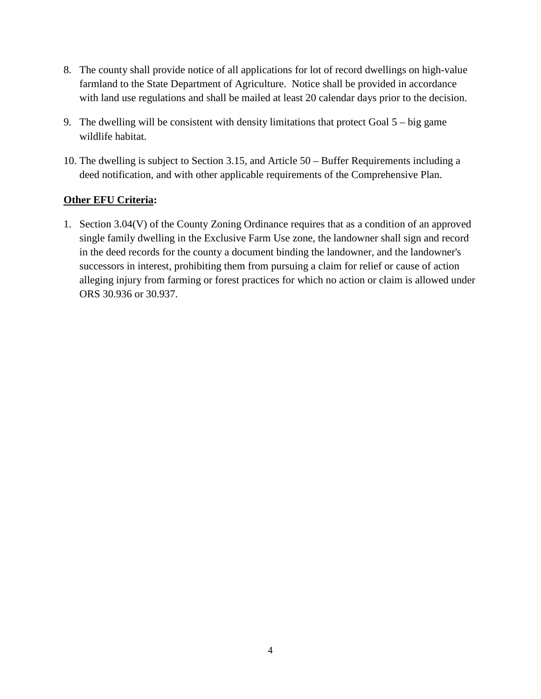- 8. The county shall provide notice of all applications for lot of record dwellings on high-value farmland to the State Department of Agriculture. Notice shall be provided in accordance with land use regulations and shall be mailed at least 20 calendar days prior to the decision.
- 9. The dwelling will be consistent with density limitations that protect Goal 5 big game wildlife habitat.
- 10. The dwelling is subject to Section 3.15, and Article 50 Buffer Requirements including a deed notification, and with other applicable requirements of the Comprehensive Plan.

## **Other EFU Criteria:**

1. Section 3.04(V) of the County Zoning Ordinance requires that as a condition of an approved single family dwelling in the Exclusive Farm Use zone, the landowner shall sign and record in the deed records for the county a document binding the landowner, and the landowner's successors in interest, prohibiting them from pursuing a claim for relief or cause of action alleging injury from farming or forest practices for which no action or claim is allowed under ORS 30.936 or 30.937.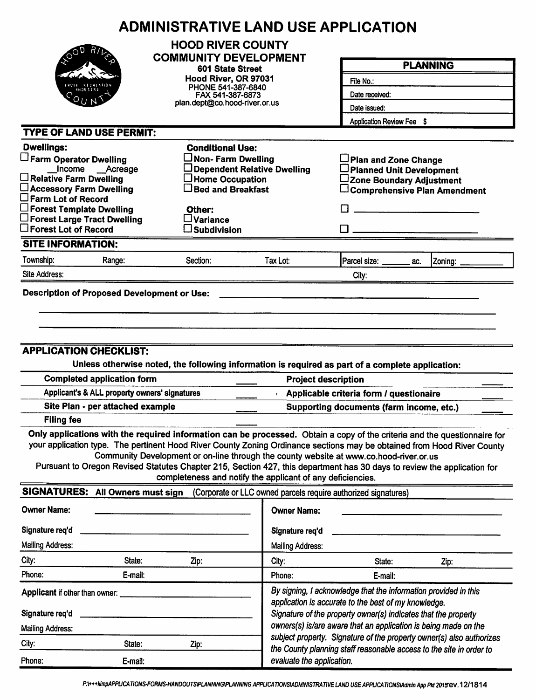|                                                                                                                                                                                                                                                    | <b>ADMINISTRATIVE LAND USE APPLICATION</b>                                                                                                                                                                                                                                                                                                                                                                             |                                                                                                                                                                                           |                                                                      |                                                                                     |  |  |  |
|----------------------------------------------------------------------------------------------------------------------------------------------------------------------------------------------------------------------------------------------------|------------------------------------------------------------------------------------------------------------------------------------------------------------------------------------------------------------------------------------------------------------------------------------------------------------------------------------------------------------------------------------------------------------------------|-------------------------------------------------------------------------------------------------------------------------------------------------------------------------------------------|----------------------------------------------------------------------|-------------------------------------------------------------------------------------|--|--|--|
|                                                                                                                                                                                                                                                    | <b>HOOD RIVER COUNTY</b><br><b>COMMUNITY DEVELOPMENT</b>                                                                                                                                                                                                                                                                                                                                                               |                                                                                                                                                                                           |                                                                      | <b>PLANNING</b>                                                                     |  |  |  |
|                                                                                                                                                                                                                                                    | 601 State Street                                                                                                                                                                                                                                                                                                                                                                                                       |                                                                                                                                                                                           |                                                                      |                                                                                     |  |  |  |
|                                                                                                                                                                                                                                                    | Hood River, OR 97031<br>PHONE 541-387-6840                                                                                                                                                                                                                                                                                                                                                                             |                                                                                                                                                                                           | File No.:                                                            |                                                                                     |  |  |  |
|                                                                                                                                                                                                                                                    | FAX 541-387-6873                                                                                                                                                                                                                                                                                                                                                                                                       |                                                                                                                                                                                           | Date received:                                                       |                                                                                     |  |  |  |
|                                                                                                                                                                                                                                                    |                                                                                                                                                                                                                                                                                                                                                                                                                        | plan.dept@co.hood-river.or.us                                                                                                                                                             |                                                                      | Date issued:<br>Application Review Fee \$                                           |  |  |  |
|                                                                                                                                                                                                                                                    |                                                                                                                                                                                                                                                                                                                                                                                                                        |                                                                                                                                                                                           |                                                                      |                                                                                     |  |  |  |
| <b>TYPE OF LAND USE PERMIT:</b>                                                                                                                                                                                                                    |                                                                                                                                                                                                                                                                                                                                                                                                                        |                                                                                                                                                                                           |                                                                      |                                                                                     |  |  |  |
| <b>Dwellings:</b>                                                                                                                                                                                                                                  | <b>Conditional Use:</b>                                                                                                                                                                                                                                                                                                                                                                                                |                                                                                                                                                                                           |                                                                      |                                                                                     |  |  |  |
| Farm Operator Dwelling<br>Income __Acreage                                                                                                                                                                                                         | $\Box$ Non- Farm Dwelling                                                                                                                                                                                                                                                                                                                                                                                              | Dependent Relative Dwelling                                                                                                                                                               | Plan and Zone Change<br>□ Planned Unit Development                   |                                                                                     |  |  |  |
| $\Box$ Relative Farm Dwelling                                                                                                                                                                                                                      | $\Box$ Home Occupation                                                                                                                                                                                                                                                                                                                                                                                                 |                                                                                                                                                                                           | ∟Zone Boundary Adjustment                                            |                                                                                     |  |  |  |
| □ Accessory Farm Dwelling                                                                                                                                                                                                                          | $\Box$ Bed and Breakfast                                                                                                                                                                                                                                                                                                                                                                                               |                                                                                                                                                                                           |                                                                      | $\Box$ Comprehensive Plan Amendment                                                 |  |  |  |
| $\square$ Farm Lot of Record<br>$\Box$ Forest Template Dwelling                                                                                                                                                                                    | Other:                                                                                                                                                                                                                                                                                                                                                                                                                 |                                                                                                                                                                                           |                                                                      |                                                                                     |  |  |  |
| $\square$ Forest Large Tract Dwelling                                                                                                                                                                                                              | $\square$ Variance                                                                                                                                                                                                                                                                                                                                                                                                     |                                                                                                                                                                                           |                                                                      |                                                                                     |  |  |  |
| $\square$ Forest Lot of Record                                                                                                                                                                                                                     | $\square$ Subdivision                                                                                                                                                                                                                                                                                                                                                                                                  |                                                                                                                                                                                           |                                                                      |                                                                                     |  |  |  |
| <b>SITE INFORMATION:</b>                                                                                                                                                                                                                           |                                                                                                                                                                                                                                                                                                                                                                                                                        |                                                                                                                                                                                           |                                                                      |                                                                                     |  |  |  |
| Township:<br>Range:                                                                                                                                                                                                                                | Section:                                                                                                                                                                                                                                                                                                                                                                                                               | Tax Lot:                                                                                                                                                                                  | Parcel size: ______<br>ac.                                           | Zoning:                                                                             |  |  |  |
| Site Address:                                                                                                                                                                                                                                      |                                                                                                                                                                                                                                                                                                                                                                                                                        |                                                                                                                                                                                           | City:                                                                |                                                                                     |  |  |  |
| <b>Filing fee</b>                                                                                                                                                                                                                                  | <b>APPLICATION CHECKLIST:</b><br>Unless otherwise noted, the following information is required as part of a complete application:<br><b>Completed application form</b><br><b>Project description</b><br>Applicant's & ALL property owners' signatures<br>Site Plan - per attached example<br>Only applications with the required information can be processed. Obtain a copy of the criteria and the questionnaire for |                                                                                                                                                                                           |                                                                      | Applicable criteria form / questionaire<br>Supporting documents (farm income, etc.) |  |  |  |
| your application type. The pertinent Hood River County Zoning Ordinance sections may be obtained from Hood River County<br>Pursuant to Oregon Revised Statutes Chapter 215, Section 427, this department has 30 days to review the application for | Community Development or on-line through the county website at www.co.hood-river.or.us<br>completeness and notify the applicant of any deficiencies.                                                                                                                                                                                                                                                                   |                                                                                                                                                                                           |                                                                      |                                                                                     |  |  |  |
| SIGNATURES: All Owners must sign                                                                                                                                                                                                                   |                                                                                                                                                                                                                                                                                                                                                                                                                        |                                                                                                                                                                                           | (Corporate or LLC owned parcels require authorized signatures)       |                                                                                     |  |  |  |
| <b>Owner Name:</b>                                                                                                                                                                                                                                 |                                                                                                                                                                                                                                                                                                                                                                                                                        | <b>Owner Name:</b>                                                                                                                                                                        |                                                                      |                                                                                     |  |  |  |
| Signature req'd                                                                                                                                                                                                                                    |                                                                                                                                                                                                                                                                                                                                                                                                                        | Signature req'd                                                                                                                                                                           |                                                                      |                                                                                     |  |  |  |
| <b>Mailing Address:</b>                                                                                                                                                                                                                            |                                                                                                                                                                                                                                                                                                                                                                                                                        | <b>Mailing Address:</b>                                                                                                                                                                   |                                                                      |                                                                                     |  |  |  |
| City:<br>State:                                                                                                                                                                                                                                    | Zip:                                                                                                                                                                                                                                                                                                                                                                                                                   | City:                                                                                                                                                                                     | State:                                                               | Zip:                                                                                |  |  |  |
| Phone:<br>E-mail:                                                                                                                                                                                                                                  |                                                                                                                                                                                                                                                                                                                                                                                                                        | Phone:                                                                                                                                                                                    | E-mail:                                                              |                                                                                     |  |  |  |
| Applicant if other than owner:<br>Signature req'd                                                                                                                                                                                                  |                                                                                                                                                                                                                                                                                                                                                                                                                        | By signing, I acknowledge that the information provided in this<br>application is accurate to the best of my knowledge.<br>Signature of the property owner(s) indicates that the property |                                                                      |                                                                                     |  |  |  |
| <b>Mailing Address:</b>                                                                                                                                                                                                                            |                                                                                                                                                                                                                                                                                                                                                                                                                        |                                                                                                                                                                                           | owners(s) is/are aware that an application is being made on the      |                                                                                     |  |  |  |
| City:<br>State:                                                                                                                                                                                                                                    | Zip:                                                                                                                                                                                                                                                                                                                                                                                                                   |                                                                                                                                                                                           | subject property. Signature of the property owner(s) also authorizes |                                                                                     |  |  |  |
| Phone:<br>E-mail:                                                                                                                                                                                                                                  |                                                                                                                                                                                                                                                                                                                                                                                                                        | evaluate the application.                                                                                                                                                                 | the County planning staff reasonable access to the site in order to  |                                                                                     |  |  |  |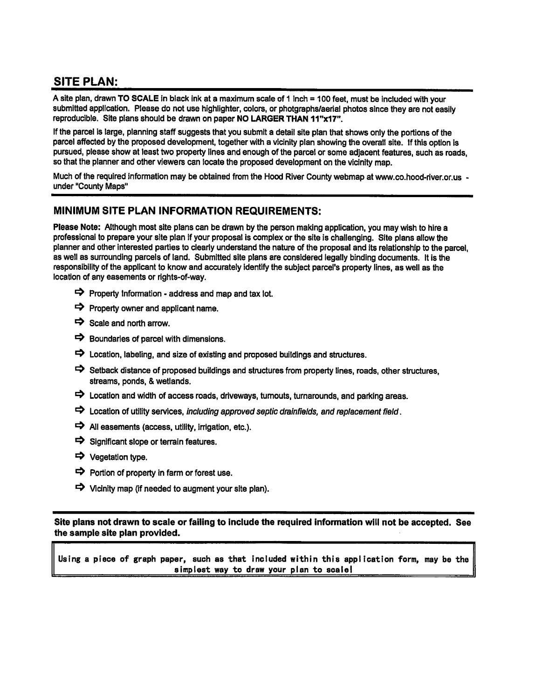## **SITE PLAN:**

A site plan, drawn TO SCALE in black ink at a maximum scale of 1 inch = 100 feet, must be included with your submitted application. Please do not use highlighter, colors, or photgraphs/aerial photos since they are not easily reproducible. Site plans should be drawn on paper NO LARGER THAN 11"x17".

If the parcel is large, planning staff suggests that you submit a detail site plan that shows only the portions of the parcel affected by the proposed development, together with a vicinity plan showing the overall site. If this option is pursued, please show at least two property lines and enough of the parcel or some adjacent features, such as roads, so that the planner and other viewers can locate the proposed development on the vicinity map.

Much of the required information may be obtained from the Hood River County webmap at www.co.hood-river.or.us under "County Maps"

#### MINIMUM SITE PLAN INFORMATION REQUIREMENTS:

Please Note: Although most site plans can be drawn by the person making application, you may wish to hire a professional to prepare your site plan if your proposal is complex or the site is challenging. Site plans allow the planner and other interested parties to clearly understand the nature of the proposal and its relationship to the parcel. as well as surrounding parcels of land. Submitted site plans are considered legally binding documents. It is the responsibility of the applicant to know and accurately identify the subject parcel's property lines, as well as the location of any easements or rights-of-way.

- $\Rightarrow$  Property Information address and map and tax lot.
- $\Rightarrow$  Property owner and applicant name.
- $\Rightarrow$  Scale and north arrow.
- $\Rightarrow$  Boundaries of parcel with dimensions.
- $\Rightarrow$  Location, labeling, and size of existing and proposed buildings and structures.
- Setback distance of proposed buildings and structures from property lines, roads, other structures, streams, ponds, & wetlands.
- $\Rightarrow$  Location and width of access roads, driveways, turnouts, turnarounds, and parking areas.
- $\Rightarrow$  Location of utility services, including approved septic drainfields, and replacement field.
- $\Rightarrow$  All easements (access, utility, irrigation, etc.).
- $\Rightarrow$  Significant slope or terrain features.
- → Vegetation type.
- $\Rightarrow$  Portion of property in farm or forest use.
- $\Rightarrow$  Vicinity map (if needed to augment your site plan).

Site plans not drawn to scale or failing to include the required information will not be accepted. See the sample site plan provided.

Using a piece of graph paper, such as that included within this application form, may be the simplest way to draw your plan to scale!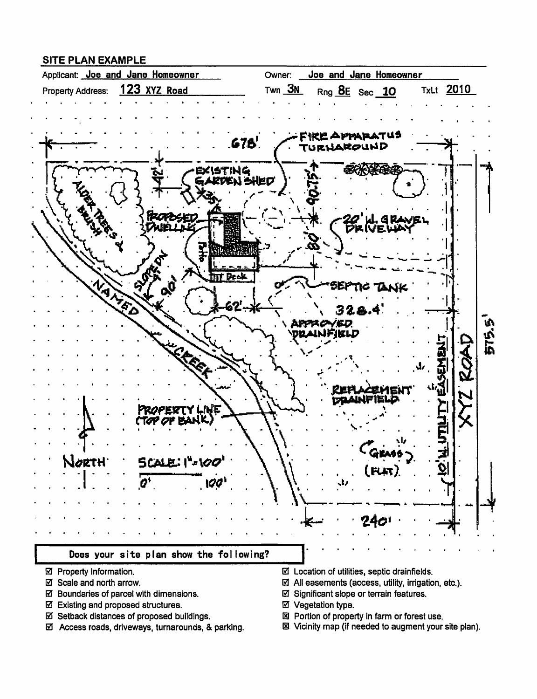### **SITE PLAN EXAMPLE**



- ☑ Property Information.
- ☑ Scale and north arrow.
- ☑ Boundaries of parcel with dimensions.
- ☑ Existing and proposed structures.
- ☑ Setback distances of proposed buildings.
- ☑ Access roads, driveways, turnarounds, & parking.
- $\boxtimes$  Location of utilities, septic drainfields.
- $\boxtimes$  All easements (access, utility, irrigation, etc.).
- ☑ Significant slope or terrain features.
- ☑ Vegetation type.
- 図 Portion of property in farm or forest use.
- 图 Vicinity map (if needed to augment your site plan).